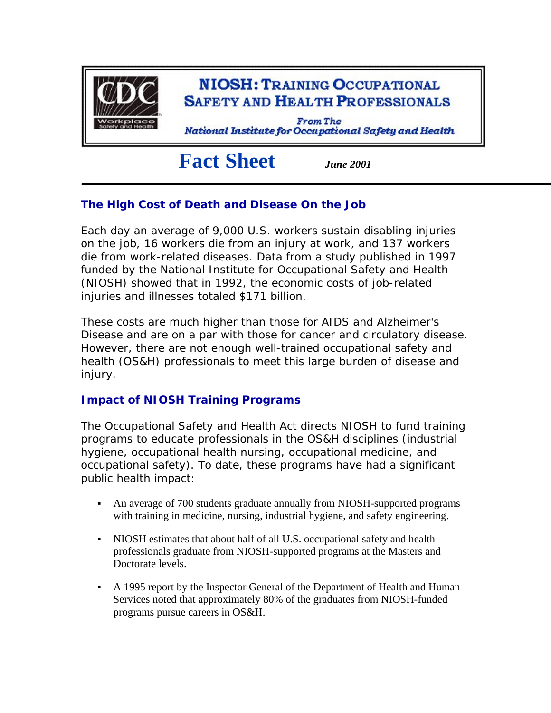

# **Fact Sheet** *June 2001*

## **The High Cost of Death and Disease On the Job**

Each day an average of 9,000 U.S. workers sustain disabling injuries on the job, 16 workers die from an injury at work, and 137 workers die from work-related diseases. Data from a study published in 1997 funded by the National Institute for Occupational Safety and Health (NIOSH) showed that in 1992, the economic costs of job-related injuries and illnesses totaled \$171 billion.

These costs are much higher than those for AIDS and Alzheimer's Disease and are on a par with those for cancer and circulatory disease. However, there are not enough well-trained occupational safety and health (OS&H) professionals to meet this large burden of disease and injury.

## **Impact of NIOSH Training Programs**

The Occupational Safety and Health Act directs NIOSH to fund training programs to educate professionals in the OS&H disciplines (industrial hygiene, occupational health nursing, occupational medicine, and occupational safety). To date, these programs have had a significant public health impact:

- An average of 700 students graduate annually from NIOSH-supported programs with training in medicine, nursing, industrial hygiene, and safety engineering.
- NIOSH estimates that about half of all U.S. occupational safety and health professionals graduate from NIOSH-supported programs at the Masters and Doctorate levels.
- A 1995 report by the Inspector General of the Department of Health and Human Services noted that approximately 80% of the graduates from NIOSH-funded programs pursue careers in OS&H.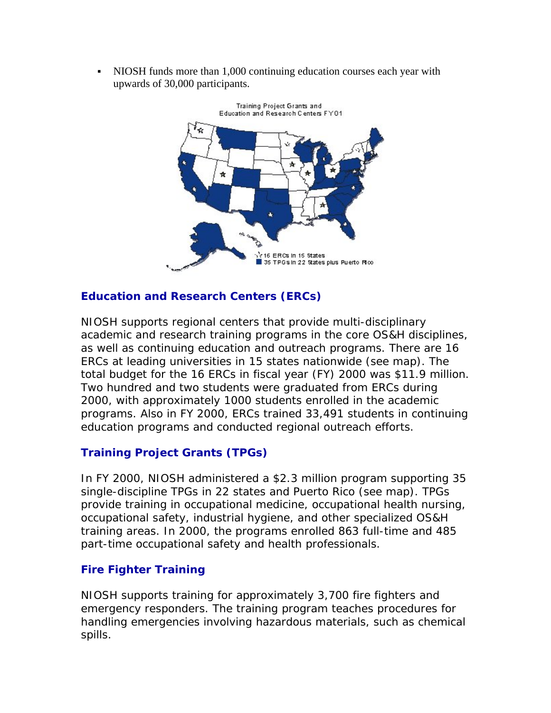NIOSH funds more than 1,000 continuing education courses each year with upwards of 30,000 participants.



### **Education and Research Centers (ERCs)**

NIOSH supports regional centers that provide multi-disciplinary academic and research training programs in the core OS&H disciplines, as well as continuing education and outreach programs. There are 16 ERCs at leading universities in 15 states nationwide (see map). The total budget for the 16 ERCs in fiscal year (FY) 2000 was \$11.9 million. Two hundred and two students were graduated from ERCs during 2000, with approximately 1000 students enrolled in the academic programs. Also in FY 2000, ERCs trained 33,491 students in continuing education programs and conducted regional outreach efforts.

## **Training Project Grants (TPGs)**

In FY 2000, NIOSH administered a \$2.3 million program supporting 35 single-discipline TPGs in 22 states and Puerto Rico (see map). TPGs provide training in occupational medicine, occupational health nursing, occupational safety, industrial hygiene, and other specialized OS&H training areas. In 2000, the programs enrolled 863 full-time and 485 part-time occupational safety and health professionals.

#### **Fire Fighter Training**

NIOSH supports training for approximately 3,700 fire fighters and emergency responders. The training program teaches procedures for handling emergencies involving hazardous materials, such as chemical spills.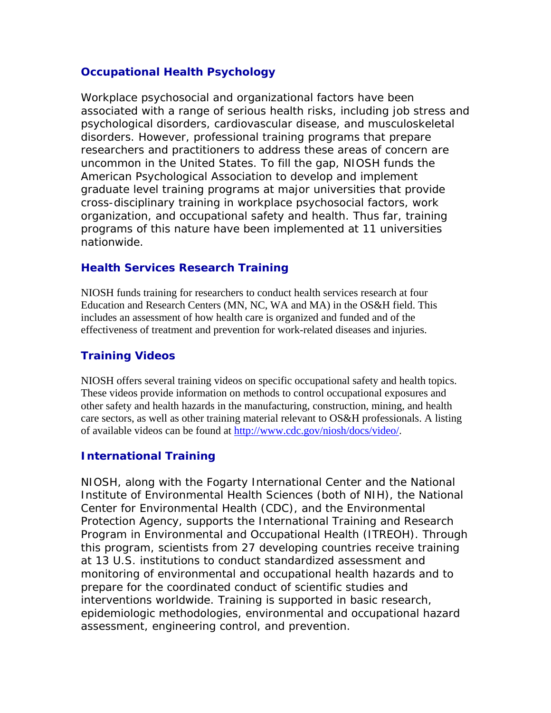#### **Occupational Health Psychology**

Workplace psychosocial and organizational factors have been associated with a range of serious health risks, including job stress and psychological disorders, cardiovascular disease, and musculoskeletal disorders. However, professional training programs that prepare researchers and practitioners to address these areas of concern are uncommon in the United States. To fill the gap, NIOSH funds the American Psychological Association to develop and implement graduate level training programs at major universities that provide cross-disciplinary training in workplace psychosocial factors, work organization, and occupational safety and health. Thus far, training programs of this nature have been implemented at 11 universities nationwide.

#### **Health Services Research Training**

NIOSH funds training for researchers to conduct health services research at four Education and Research Centers (MN, NC, WA and MA) in the OS&H field. This includes an assessment of how health care is organized and funded and of the effectiveness of treatment and prevention for work-related diseases and injuries.

## **Training Videos**

NIOSH offers several training videos on specific occupational safety and health topics. These videos provide information on methods to control occupational exposures and other safety and health hazards in the manufacturing, construction, mining, and health care sectors, as well as other training material relevant to OS&H professionals. A listing of available videos can be found at [http://www.cdc.gov/niosh/docs/video/.](http://www.cdc.gov/niosh/docs/video/)

#### **International Training**

NIOSH, along with the Fogarty International Center and the National Institute of Environmental Health Sciences (both of NIH), the National Center for Environmental Health (CDC), and the Environmental Protection Agency, supports the International Training and Research Program in Environmental and Occupational Health (ITREOH). Through this program, scientists from 27 developing countries receive training at 13 U.S. institutions to conduct standardized assessment and monitoring of environmental and occupational health hazards and to prepare for the coordinated conduct of scientific studies and interventions worldwide. Training is supported in basic research, epidemiologic methodologies, environmental and occupational hazard assessment, engineering control, and prevention.